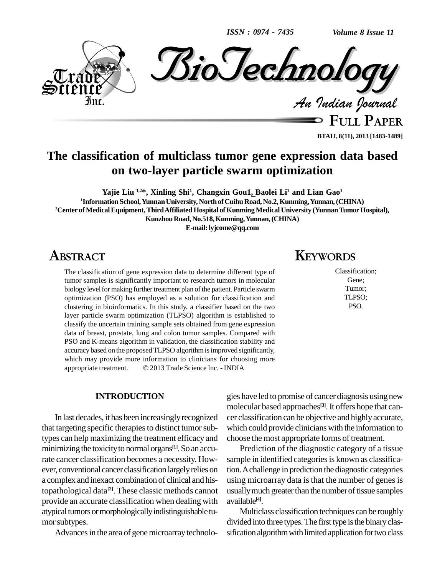*ISSN : 0974 - 7435*

*Volume 8 Issue 11*



**FULL PAPER BTAIJ, 8(11), 2013 [1483-1489]**

### **The classification of multiclass tumor gene expression data based on two-layer particle swarm optimization**

**Yajie Liu 1,2\*, Xinling Shi<sup>1</sup> , Changxin Gou1, Baolei Li<sup>1</sup> and Lian Gao 1 <sup>1</sup>Information School,YunnanUniversity, NorthofCuihuRoad, No.2,Kunming,Yunnan,(CHINA)** <sup>2</sup> Center of Medical Equipment, Third Affiliated Hospital of Kunming Medical University (Yunnan Tumor Hospital), **KunzhouRoad,No.518,Kunming,Yunnan,(CHINA) E-mail:[lyjcome@qq.com](mailto:lyjcome@qq.com)**

### **ABSTRACT**

The classification of gene expression data to determine different type of tumor samples is significantly important to research tumors in molecular biology level for making further treatment plan of the patient. Particle swarm optimization (PSO) has employed as a solution for classification and clustering in bioinformatics. In this study, a classifier based on the two layer particle swarm optimization (TLPSO) algorithm is established to classify the uncertain training sample sets obtained from gene expression data of breast, prostate, lung and colon tumor samples. Compared with PSO and K-means algorithm in validation, the classification stability and accuracy based on the proposed TLPSO algorithm is improved significantly, which may provide more information to clinicians for choosing more accuracy based on the proposed TLPSO algorithm is improved significantly,<br>which may provide more information to clinicians for choosing more<br>appropriate treatment. © 2013 Trade Science Inc. - INDIA

#### **INTRODUCTION**

In last decades, it has been increasinglyrecognized that targeting specific therapies to distinct tumor subtypes can help maximizing the treatment efficacy and minimizing the toxicity to normal organs<sup>[1]</sup>. So an accurate cancer classification becomes a necessity. How ever, conventional cancer classification largelyrelies on a complex and inexact combination of clinical and histopathological data **[2]**. These classic methods cannot provide an accurate classification when dealing with atypical tumors or morphologically indistinguishable tumor subtypes.

Advances in the area of gene microarray technolo-

## **KEYWORDS**

Classification; Gene; Tumor; TLPSO; PSO.

gies have led to promise of cancer diagnosis using new molecular based approaches **[3]**.It offers hope that can cer classification can be objective and highlyaccurate, which could provide clinicians with the information to choose the most appropriate forms of treatment.

Prediction of the diagnostic category of a tissue sample in identified categories is known as classification.Achallenge in prediction the diagnostic categories using microarray data is that the number of genes is usually much greater than the number of tissue samples available **[4]**.

Multiclass classification techniques can be roughly divided into three types. The first type is the binary classification algorithm with limited application for two class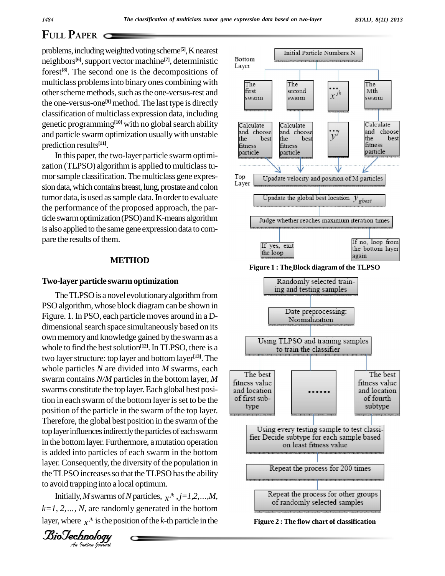#### *BTAIJ, 8(11) 2013*

best

## **FULL PAPER**

problems, including weighted voting scheme<sup>[5]</sup>, Knearest neighbors<sup>[6]</sup>, support vector machine<sup>[7]</sup>, deterministic Bott forest **[8]**. The second one is the decompositions of multiclass problems into binary ones combining with The other scheme methods, such as the one-versus-rest and first swarm the one-versus-one **[9]** method. The last type is directly classification of multiclass expression data, including genetic programming<sup>[10]</sup> with no global search ability  $\qquad \qquad$  Calc and particle swarm optimization usually with unstable  $\frac{d^{and}}{dh}$  choose prediction results **[11]**.

In this paper, the two-layer particle swarm optimization (TLPSO) algorithm is applied to multiclass tumor sample classification. The multiclass gene expres-<br>Layer sion data, which contains breast, lung, prostate and colon tumor data, is used as sample data. In order to evaluate the performance of the proposed approach, the particle swarm optimization (PSO) and K-means algorithm Judge whether reaches maximum iteration times is also applied to the same gene expression data to compare the results of them.

#### **METHOD**

#### **Two-layerparticle swarmoptimization**

is added into particles of each swarm in the bottom *An*to avoid trapping into a local optimum. The TLPSO is a novel evolutionary algorithm from PSO algorithm, whose block diagram can be shown in Figure. 1.In PSO, each particle moves around in a D dimensional search space simultaneously based on its own memory and knowledge gained by the swarm as a whole to find the best solution<sup>[12]</sup>. In TLPSO, there is a two layer structure: top layer and bottom layer<sup>[13]</sup>. The  $\overline{\phantom{a}}$ whole particles *N* are divided into *M* swarms, each The best swarm contains  $N/M$  particles in the bottom layer,  $M$ swarms constitute the top layer.Each global best position in each swarm of the bottom layer is set to be the  $\left\{\n\begin{array}{c}\n\text{of first sub-} \\
\text{type}\n\end{array}\n\right\}$ position of the particle in the swarm of the top layer. Therefore, the global best position in the swarm of the top layer influences indirectly the particles of each swarm<br>fier Decide subtype for each sample based in the bottom layer. Furthermore, a mutation operation layer. Consequently, the diversity of the population in the TLPSO increases so that the TLPSO has the ability ILPSO increases so that the TLPSO has the ability<br>void trapping into a local optimum.<br>Initially, M swarms of N particles,  $x^{jk}$ ,  $j=1,2,...,M$ ,

pping into a lo<br>*I*, *M* swarms o<br>*N*, are randor<br>*I x*<sup>jk</sup> is the po<br>*Inology* Initially, *M* swarms of *N* particles,  $x^{jk}$ ,  $j=1,2,...,M$ , Repeat the process for other groups of randomly selected samples of randomly selected samples layer, where  $x^{jk}$  is the position of the *k*-th particle in the



Initial Particle Numbers N



**Figure 2 : The flow chart of classification**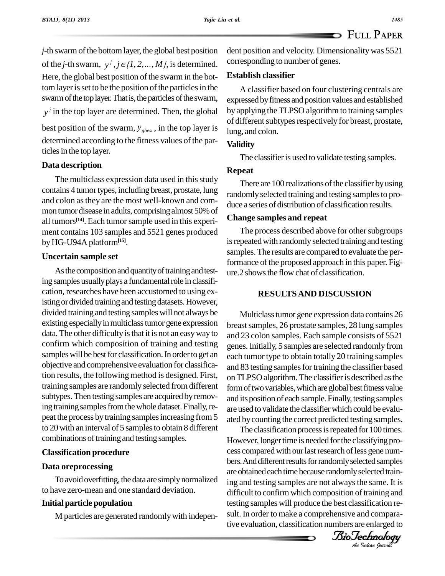*j*-th swarm of the bottom layer, the global best position *j*-th swarm of the bottom layer, the global best position de of the *j*-th swarm,  $y^j$ ,  $j \in \{1, 2, ..., M\}$ , is determined. Here, the global best position of the swarm in the bottom layer is set to be the position of the particles in the swarm of the top layer. That is, the particles of the swarm, *<sup>j</sup> y* in the top layer are determined. Then, the global best position of the swarm,  $y_{\text{gbest}}$ , in the top layer is determined according to the fitness values of the particles in the top layer.

#### **Data description**

The multiclass expression data used in this study contains 4 tumortypes, including breast, prostate, lung and colon asthey are the most well-known and com mon tumor disease in adults, comprising almost 50% of all tumors<sup>[14]</sup>. Each tumor sample used in this experiment contains 103 samples and 5521 genes produced byHG-U94A platform**[15]**.

#### **Uncertain sample set**

As the composition and quantity of training and testing samples usually plays a fundamental role in classification, researches have been accustomed to using existing or divided training and testing datasets. However, divided training and testing sampleswill not always be existing especiallyinmulticlasstumor gene expression data. The other difficulty is that it is not an easy way to confirm which composition of training and testing samples will be best for classification. In order to get an objective and comprehensive evaluation for classification results, the following method is designed. First, training samples are randomly selected from different subtypes. Then testing samples are acquired by removing training samples from the whole dataset. Finally, repeat the process by training samples increasing from 5 to 20 with an interval of 5 samples to obtain 8 different combinations of training and testing samples.

#### **Classification procedure**

#### **Data oreprocessing**

To avoid overfitting, the data are simply normalized to have zero-mean and one standard deviation.

### **Initial particle population**

M particles are generated randomlywith indepen-

dent position and velocity. Dimensionality was 5521 corresponding to number of genes.

#### **Establish classifier**

A classifier based on four clustering centrals are expressed by fitness and position values and established by applying the TLPSO algorithm to training samples of different subtypes respectively for breast, prostate, lung, and colon.

#### **Validity**

The classifier is used to validate testing samples.

#### **Repeat**

There are 100 realizations of the classifier by using randomlyselected training and testing samplesto pro duce a series of distribution of classification results.

#### **Change samples and repeat**

The process described above for other subgroups is repeated with randomly selected training and testing samples.The results are compared to evaluate the performance of the proposed approach in this paper. Figure.2 showsthe flow chat of classification.

### **RESULTSAND DISCUSSION**

Multiclasstumor gene expression data contains 26 breast samples, 26 prostate samples, 28 lung samples and 23 colon samples. Each sample consists of 5521 genes.Initially, 5 samples are selected randomly from each tumor type to obtain totally 20 training samples and 83 testing samples for training the classifier based on TLPSO algorithm. The classifier is described as the form of two variables, which are global best fitness value and its position of each sample. Finally, testing samples are used to validate the classifier which could be evaluated bycounting the correct predicted testing samples.

cess compared with our last research of less gene num-<br>bers. And different results for randomly selected samples ing and testing samples are not always the same. It is testing samples will produce the best classification result. In order to make a comprehensive and comparative evaluation, classification numbers are enlarged to<br>*BioTechnology* The classification process is repeated for 100 times. However, longer time is needed for the classifying probers. And different results for randomly selected samples are obtained each time because randomly selected traindifficult to confirm which composition of training and sult. In order to make a comprehensive and comparative evaluation, classification numbers are enlarged to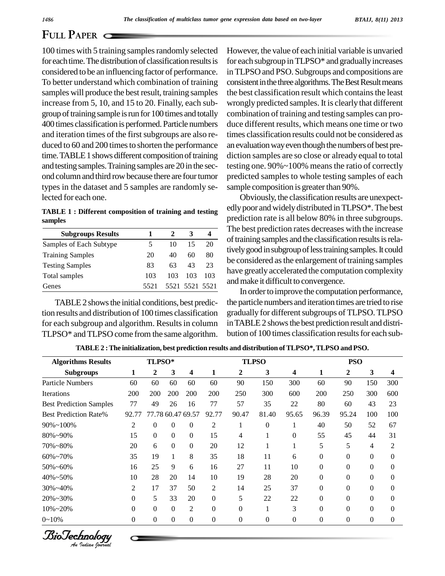# **FULL PAPER**

100 times with 5 training samples randomly selected for each time. The distribution of classification results is considered to be an influencing factor of performance. To better understand which combination of training samples will produce the best result, training samples increase from 5, 10, and 15 to 20. Finally, each sub group of training sample is run for 100 times and totally 400 times classification is performed. Particle numbers and iteration times of the first subgroups are also re-<br>duced to 60 and 200 times to shorten the performance time. TABLE 1 shows different composition of training and testing samples.Training samples are 20 in the sec ond column and third row because there are four tumor types in the dataset and 5 samples are randomly selected for each one.

**TABLE 1 : Different composition of training and testing samples**

| <b>Subgroups Results</b> |      |     |                |     |
|--------------------------|------|-----|----------------|-----|
| Samples of Each Subtype  |      | 10  | 15             | 20  |
| <b>Training Samples</b>  | 20   | 40  | 60             | 80  |
| <b>Testing Samples</b>   | 83   | 63  | 43             | 23  |
| Total samples            | 103  | 103 | 103            | 103 |
| Genes                    | 5521 |     | 5521 5521 5521 |     |

TABLE 2 shows the initial conditions, best prediction results and distribution of 100 times classification for each subgroup and algorithm. Results in column TLPSO\* and TLPSO come from the same algorithm. However, the value of each initial variable is unvaried for each subgroup inTLPSO\* and graduallyincreases in TLPSO and PSO. Subgroups and compositions are consistent in the three algorithms. The Best Result means the best classification result which contains the least wrongly predicted samples. It is clearly that different combination of training and testing samples can produce different results, which means one time or two times classification results could not be considered as an evaluation way even though the numbers of best prediction samples are so close or already equal to total testing one. 90%~100% means the ratio of correctly predicted samples to whole testing samples of each sample composition is greater than 90%.

Obviously, the classification results are unexpect edly poor and widely distributed in TLPSO\*. The best prediction rate is all below 80% in three subgroups. The best prediction rates decreases with the increase of training samples and the classification results is relatively good in subgroup of less training samples. It could be considered as the enlargement of training samples have greatly accelerated the computation complexity andmake it difficult to convergence.

In order to improve the computation performance, the particle numbers and iteration times are tried to rise gradually for different subgroups of TLPSO. TLPSO in TABLE 2 shows the best prediction result and distribution of 100 times classification results for each sub-

| <b>Algorithms Results</b>      | TLPSO*   |              |                   |                  | <b>TLPSO</b>   |                |              |                         | <b>PSO</b>     |              |              |                  |
|--------------------------------|----------|--------------|-------------------|------------------|----------------|----------------|--------------|-------------------------|----------------|--------------|--------------|------------------|
| <b>Subgroups</b>               | 1        | 2            | 3                 | 4                | 1              | 2              | 3            | $\overline{\mathbf{4}}$ | 1              | 2            | 3            | 4                |
| <b>Particle Numbers</b>        | 60       | 60           | 60                | 60               | 60             | 90             | 150          | 300                     | 60             | 90           | 150          | 300              |
| Iterations                     | 200      | 200          | 200               | 200              | 200            | 250            | 300          | 600                     | 200            | 250          | 300          | 600              |
| <b>Best Prediction Samples</b> | 77       | 49           | 26                | 16               | 77             | 57             | 35           | 22                      | 80             | 60           | 43           | 23               |
| <b>Best Prediction Rate%</b>   | 92.77    |              | 77.78 60.47 69.57 |                  | 92.77          | 90.47          | 81.40        | 95.65                   | 96.39          | 95.24        | 100          | 100              |
| $90\% \sim 100\%$              | 2        | $\theta$     | $\theta$          | 0                | 2              | 1              | $\theta$     | 1                       | 40             | 50           | 52           | 67               |
| 80%~90%                        | 15       | $\mathbf{0}$ | $\Omega$          | $\Omega$         | 15             | 4              |              | $\theta$                | 55             | 45           | 44           | 31               |
| 70%~80%                        | 20       | 6            | $\Omega$          | $\theta$         | 20             | 12             |              |                         | 5              | 5            | 4            | 2                |
| $60\% - 70\%$                  | 35       | 19           | 1                 | 8                | 35             | 18             | 11           | 6                       | $\Omega$       | $\Omega$     | $\mathbf{0}$ | $\theta$         |
| $50\% - 60\%$                  | 16       | 25           | 9                 | 6                | 16             | 27             | 11           | 10                      | $\theta$       | $\Omega$     | $\Omega$     | $\theta$         |
| 40%~50%                        | 10       | 28           | 20                | 14               | 10             | 19             | 28           | 20                      | $\overline{0}$ | $\theta$     | $\mathbf{0}$ | $\theta$         |
| $30\% - 40\%$                  | 2        | 17           | 37                | 50               | $\overline{2}$ | 14             | 25           | 37                      | $\theta$       | $\Omega$     | $\mathbf{0}$ | $\theta$         |
| 20%~30%                        | $\Omega$ | 5            | 33                | 20               | $\Omega$       | 5              | 22           | 22                      | $\theta$       | $\Omega$     | $\theta$     | $\Omega$         |
| $10\% - 20\%$                  | $\Omega$ | $\mathbf{0}$ | $\Omega$          | 2                | $\theta$       | $\Omega$       |              | 3                       | $\theta$       | $\theta$     | $\mathbf{0}$ | $\theta$         |
| $0 - 10\%$                     | $\Omega$ | $\Omega$     | $\overline{0}$    | $\boldsymbol{0}$ | $\theta$       | $\overline{0}$ | $\mathbf{0}$ | $\overline{0}$          | $\theta$       | $\mathbf{0}$ | $\theta$     | $\boldsymbol{0}$ |

**TABLE2 :The initialization, best prediction results and distribution ofTLPSO\*,TLPSO and PSO.**

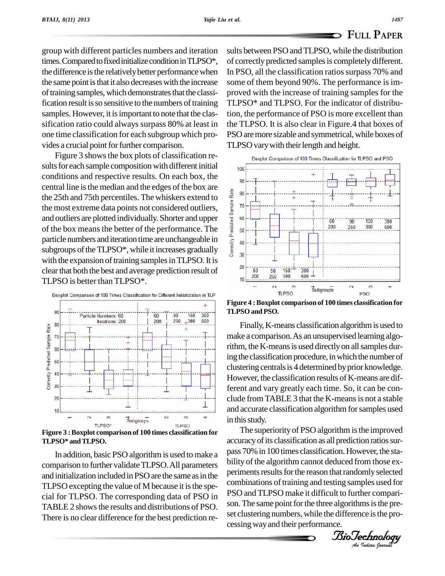group with different particles numbers and iteration times. Compared to fixed initialize condition in TLPSO\*, the difference is the relatively better performance when the same point is that it also decreases with the increase of training samples, which demonstrates that the classification result is so sensitive to the numbers of training samples. However, it is important to note that the classification ratio could always surpass 80% at least in one time classification for each subgroup which pro vides a crucial point for further comparison.

Figure 3 shows the box plots of classification re-<br>sults for each sample composition with different initial conditions and respective results. On each box, the  $\Big|_{\mathfrak{g}_{\mathfrak{g}}}$ central line is the median and the edges of the box are<br>the 25th and 75th percentiles. The whiskers extend to<br>the most extreme data points not considered outliers,<br>and outliers are plotted individually. Shorter and upper<br> the 25th and 75th percentiles. The whiskers extend to the most extreme data points not considered outliers, and outliers are plotted individually. Shorter and upper of the box means the better of the performance. The particle numbers and iteration time are unchangeable in subgroups of the TLPSO\*, while it increases gradually  $\begin{bmatrix} \frac{8}{5} \\ 30 \end{bmatrix}$ with the expansion of training samples in TLPSO. It is clearthat both the best and average prediction result of TLPSO is better than TLPSO\*.



In addition, basic PSO algorithm is used to make a comparison to further validate TLPSO. All parameters and initialization included in PSO are the same as in the TLPSO excepting the value of M because it is the special for TLPSO. The corresponding data of PSO in TABLE 2 shows the results and distributions of PSO. There is no clear difference for the best prediction results between PSO and TLPSO, while the distribution of correctly predicted samplesis completelydifferent. In PSO, all the classification ratios surpass 70% and some of them beyond 90%. The performance is im proved with the increase of training samples for the TLPSO\* and TLPSO. For the indicator of distribution, the performance of PSO is more excellent than the TLPSO. It is also clear in Figure.4 that boxes of PSO are more sizable and symmetrical, while boxes of TLPSO vary with their length and height.



**Figure 4 :Boxplot comparison of 100 times classification for TLPSOand PSO.**

Finally, K-means classification algorithm is used to make a comparison.As an unsupervised learning algorithm, the K-means is used directly on all samples during the classification procedure, in which the number of clustering centrals is 4 determined by prior knowledge. However, the classification results of K-means are different and vary greatly each time. So, it can be con clude from TABLE 3 that the K-means is not a stable and accurate classification algorithm for samples used in this study.

pass 70% in 100 times classification. However, the sta-<br>bility of the algorithm cannot deduced from those excombinations of training and testing samples used for The superiority of PSO algorithm is the improved accuracy of its classification as all prediction ratios surbility of the algorithm cannot deduced from those experiments results for the reason that randomly selected PSO and TLPSO make it difficult to further comparison. The same point for the three algorithms is the preset clustering numbers, while the difference is the processingwayand their performance.

*Indian Journal*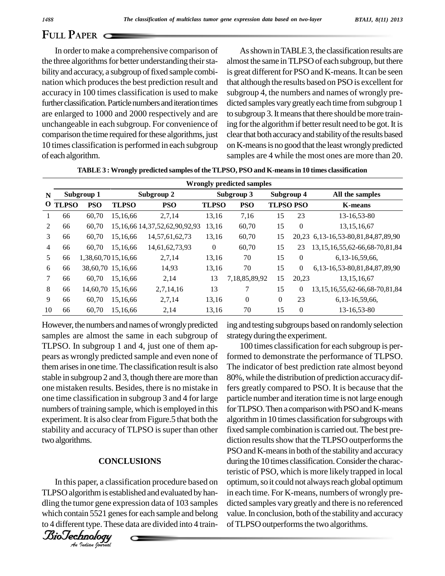## **FULL PAPER**

In order to make a comprehensive comparison of the three algorithms for better understanding their stability and accuracy, a subgroup of fixed sample combination which produces the best prediction result and accuracy in 100 times classification is used to make further classification. Particle numbers and iteration times are enlarged to 1000 and 2000 respectively and are unchangeable in each subgroup. For convenience of comparison the time required forthese algorithms, just 10 times classification is performed in each subgroup of each algorithm.

As shown in TABLE 3, the classification results are almost the same in TLPSO of each subgroup, but there is great different for PSO and K-means. It can be seen that although the results based on PSO is excellent for subgroup 4, the numbers and names of wrongly pre dicted samples vary greatly each time from subgroup 1 to subgroup 3. It means that there should be more training for the algorithm if better result need to be got. It is clear that both accuracy and stability of the results based on K-means is no good that the least wrongly predicted samples are 4 while the most ones are more than 20.

| N              | Subgroup 1 |            |                    | Subgroup 2                            |              | Subgroup 3    |                  | Subgroup 4   | All the samples                          |  |
|----------------|------------|------------|--------------------|---------------------------------------|--------------|---------------|------------------|--------------|------------------------------------------|--|
|                | O TLPSO    | <b>PSO</b> | <b>TLPSO</b>       | <b>PSO</b>                            | <b>TLPSO</b> | <b>PSO</b>    | <b>TLPSO PSO</b> |              | <b>K-means</b>                           |  |
| 1              | 66         | 60,70      | 15,16,66           | 2,7,14                                | 13,16        | 7,16          | 15               | 23           | 13-16,53-80                              |  |
| 2              | 66         | 60,70      |                    | 15, 16, 66 14, 37, 52, 62, 90, 92, 93 | 13,16        | 60,70         | 15               | $\theta$     | 13, 15, 16, 67                           |  |
| 3              | 66         | 60,70      | 15,16,66           | 14,57,61,62,73                        | 13,16        | 60,70         | 15               |              | 20,23 6,13-16,53-80,81,84,87,89,90       |  |
| $\overline{4}$ | 66         | 60,70      | 15,16,66           | 14,61,62,73,93                        | $\mathbf{0}$ | 60,70         | 15               | 23           | 13, 15, 16, 55, 62-66, 68-70, 81, 84     |  |
| 5              | 66         |            | 1,38,60,7015,16,66 | 2,7,14                                | 13,16        | 70            | 15               | $\theta$     | 6, 13 - 16, 59, 66,                      |  |
| 6              | 66         |            | 38,60,70 15,16,66  | 14,93                                 | 13,16        | 70            | 15               | $\mathbf{0}$ | 6,13-16,53-80,81,84,87,89,90             |  |
| 7              | 66         | 60,70      | 15,16,66           | 2,14                                  | 13           | 7,18,85,89,92 | 15               | 20,23        | 13, 15, 16, 67                           |  |
| 8              | 66         |            | 14,60,70 15,16,66  | 2,7,14,16                             | 13           | 7             | 15               | $\mathbf{0}$ | 13, 15, 16, 55, 62 - 66, 68 - 70, 81, 84 |  |
| 9              | 66         | 60,70      | 15,16,66           | 2,7,14                                | 13,16        | $\theta$      | $\mathbf{0}$     | 23           | 6, 13 - 16, 59, 66,                      |  |
| 10             | 66         | 60,70      | 15,16,66           | 2,14                                  | 13,16        | 70            | 15               | $\theta$     | 13-16.53-80                              |  |

**TABLE 3 : Wrongly predicted samples of theTLPSO, PSO and K-meansin 10 times classification**

However, the numbers and names of wrongly predicted samples are almost the same in each subgroup of TLPSO. In subgroup 1 and 4, just one of them ap pears as wrongly predicted sample and even none of themarisesin one time.The classification result is also stable in subgroup 2 and 3, though there aremore than one mistaken results. Besides, there is no mistake in one time classification in subgroup 3 and 4 for large numbers of training sample, which is employed in this experiment. It is also clear from Figure.5 that both the stability and accuracy of TLPSO is super than other two algorithms.

#### $\overline{c}$  $\overline{c}$ **CONCLUSIONS**

In this paper, a classification procedure based on optimu *Paper, a class*<br>*Indian Is* esta<br>*Indian ISS21* gene<br>*Indian hourwal* TLPSO algorithm is established and evaluated by handling the tumor gene expression data of 103 samples which contain 5521 genes for each sample and belong to 4 different type. These data are divided into 4 train-



ing and testing subgroups based on randomlyselection strategy during the experiment.

100 times classification for each subgroup is performed to demonstrate the performance of TLPSO. The indicator of best prediction rate almost beyond 80%, while the distribution of prediction accuracydiffers greatly compared to PSO. It is because that the particle number and iteration time is not large enough for TLPSO. Then a comparison with PSO and K-means algorithm in 10 times classification for subgroups with fixed sample combination is carried out. The best prediction results show that the TLPSO outperforms the PSO and K-means in both of the stability and accuracy during the 10 times classification. Consider the characteristic of PSO, which ismore likely trapped in local optimum, so it could not always reach global optimum in each time. For K-means, numbers of wrongly pre dicted samples vary greatly and there is no referenced value. In conclusion, both of the stability and accuracy of TLPSO outperforms the two algorithms.